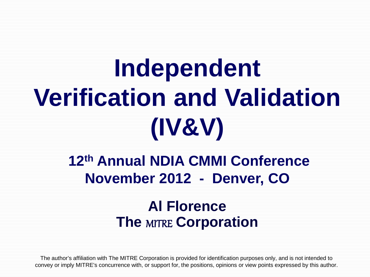# **Independent Verification and Validation (IV&V)**

# **12th Annual NDIA CMMI Conference November 2012 - Denver, CO**

# **Al Florence The** MITRE **Corporation**

The author's affiliation with The MITRE Corporation is provided for identification purposes only, and is not intended to convey or imply MITRE's concurrence with, or support for, the positions, opinions or view points expressed by this author.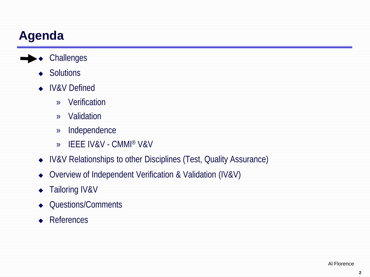# **Agenda**

- **◆** Challenges
	- ◆ Solutions
	- ◆ IV&V Defined
		- » Verification
		- » Validation
		- » Independence
		- » IEEE IV&V CMMI® V&V
	- IV&V Relationships to other Disciplines (Test, Quality Assurance)
	- ◆ Overview of Independent Verification & Validation (IV&V)
	- ◆ Tailoring IV&V
	- Questions/Comments
	- **◆** References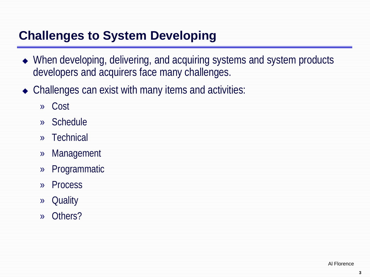### **Challenges to System Developing**

- When developing, delivering, and acquiring systems and system products developers and acquirers face many challenges.
- Challenges can exist with many items and activities:
	- » Cost
	- » Schedule
	- » Technical
	- » Management
	- » Programmatic
	- » Process
	- » Quality
	- » Others?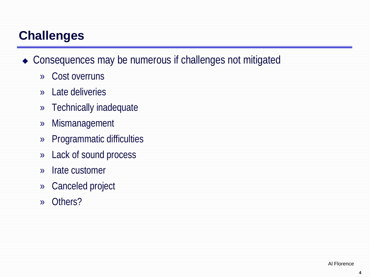### **Challenges**

- ◆ Consequences may be numerous if challenges not mitigated
	- » Cost overruns
	- » Late deliveries
	- » Technically inadequate
	- » Mismanagement
	- » Programmatic difficulties
	- » Lack of sound process
	- » Irate customer
	- » Canceled project
	- » Others?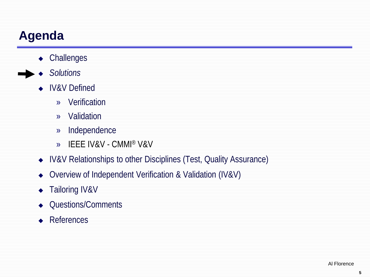# **Agenda**

- ◆ Challenges
- *Solutions*

#### ◆ IV&V Defined

- » Verification
- » Validation
- » Independence
- » IEEE IV&V CMMI® V&V
- IV&V Relationships to other Disciplines (Test, Quality Assurance)
- ◆ Overview of Independent Verification & Validation (IV&V)
- ◆ Tailoring IV&V
- Questions/Comments
- **◆** References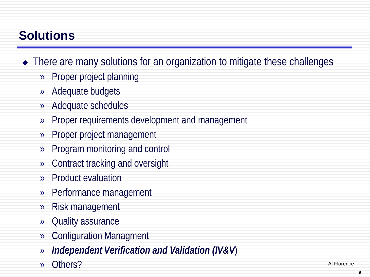# **Solutions**

- There are many solutions for an organization to mitigate these challenges
	- » Proper project planning
	- » Adequate budgets
	- » Adequate schedules
	- » Proper requirements development and management
	- » Proper project management
	- » Program monitoring and control
	- » Contract tracking and oversight
	- » Product evaluation
	- » Performance management
	- » Risk management
	- » Quality assurance
	- » Configuration Managment
	- » *Independent Verification and Validation (IV&V*)
	- » Others?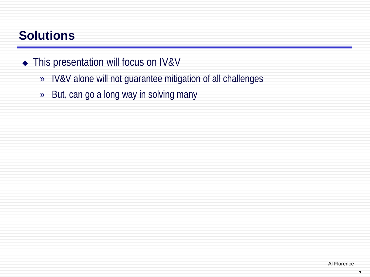### **Solutions**

#### ◆ This presentation will focus on IV&V

- » IV&V alone will not guarantee mitigation of all challenges
- » But, can go a long way in solving many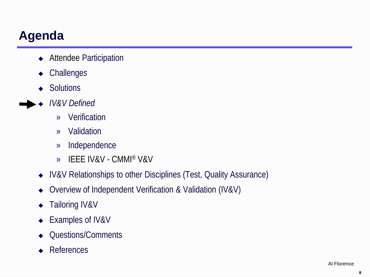# **Agenda**

- ◆ Attendee Participation
- Challenge*s*
- ◆ Solutions
- *IV&V Defined*
	- » Verification
	- » Validation
	- » Independence
	- » IEEE IV&V CMMI® V&V
	- IV&V Relationships to other Disciplines (Test, Quality Assurance)
	- ◆ Overview of Independent Verification & Validation (IV&V)
	- ◆ Tailoring IV&V
	- ◆ Examples of IV&V
	- Questions/Comments
	- ◆ References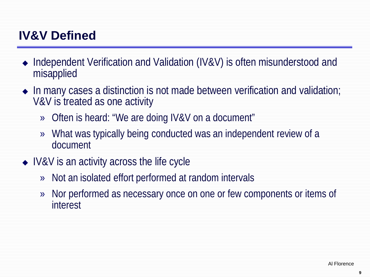- Independent Verification and Validation (IV&V) is often misunderstood and misapplied
- $\bullet$  In many cases a distinction is not made between verification and validation; V&V is treated as one activity
	- » Often is heard: "We are doing IV&V on a document"
	- » What was typically being conducted was an independent review of a document
- IV&V is an activity across the life cycle
	- » Not an isolated effort performed at random intervals
	- » Nor performed as necessary once on one or few components or items of interest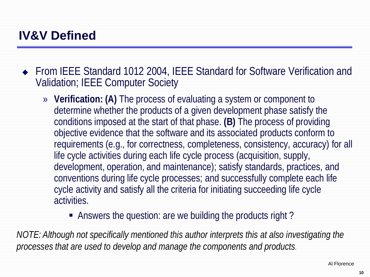◆ From IEEE Standard 1012 2004, IEEE Standard for Software Verification and Validation; IEEE Computer Society

- » **Verification: (A)** The process of evaluating a system or component to determine whether the products of a given development phase satisfy the conditions imposed at the start of that phase. **(B)** The process of providing objective evidence that the software and its associated products conform to requirements (e.g., for correctness, completeness, consistency, accuracy) for all life cycle activities during each life cycle process (acquisition, supply, development, operation, and maintenance); satisfy standards, practices, and conventions during life cycle processes; and successfully complete each life cycle activity and satisfy all the criteria for initiating succeeding life cycle activities.
	- Answers the question: are we building the products right?

*NOTE: Although not specifically mentioned this author interprets this at also investigating the processes that are used to develop and manage the components and products.*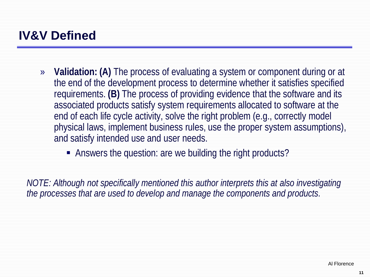- » **Validation: (A)** The process of evaluating a system or component during or at the end of the development process to determine whether it satisfies specified requirements. **(B)** The process of providing evidence that the software and its associated products satisfy system requirements allocated to software at the end of each life cycle activity, solve the right problem (e.g., correctly model physical laws, implement business rules, use the proper system assumptions), and satisfy intended use and user needs.
	- Answers the question: are we building the right products?

*NOTE: Although not specifically mentioned this author interprets this at also investigating the processes that are used to develop and manage the components and products.*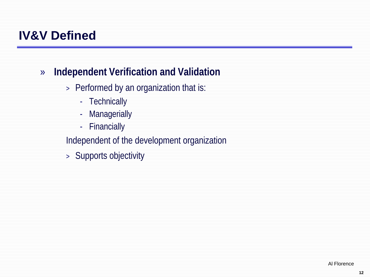#### » **Independent Verification and Validation**

- > Performed by an organization that is:
	- Technically
	- Managerially
	- Financially

Independent of the development organization

> Supports objectivity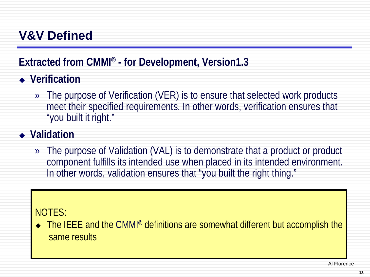**Extracted from CMMI® - for Development, Version1.3** 

- **Verification**
	- » The purpose of Verification (VER) is to ensure that selected work products meet their specified requirements. In other words, verification ensures that "you built it right."
- **Validation**
	- » The purpose of Validation (VAL) is to demonstrate that a product or product component fulfills its intended use when placed in its intended environment. In other words, validation ensures that "you built the right thing."

#### NOTES:

• The IEEE and the CMMI<sup>®</sup> definitions are somewhat different but accomplish the same results

Al Florence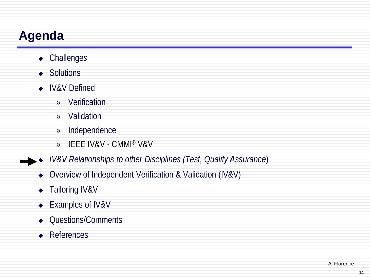# **Agenda**

- Challenge*s*
- ◆ Solutions
- ◆ IV&V Defined
	- » Verification
	- » Validation
	- » Independence
	- » IEEE IV&V CMMI® V&V
- *IV&V Relationships to other Disciplines (Test, Quality Assurance*)
	- ◆ Overview of Independent Verification & Validation (IV&V)
	- ◆ Tailoring IV&V
	- ◆ Examples of IV&V
	- Questions/Comments
	- ◆ References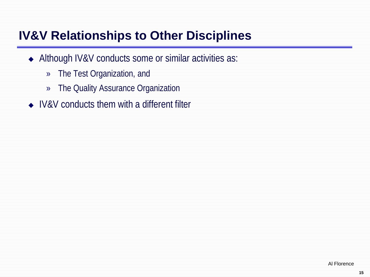# **IV&V Relationships to Other Disciplines**

- Although IV&V conducts some or similar activities as:
	- » The Test Organization, and
	- » The Quality Assurance Organization
- ◆ IV&V conducts them with a different filter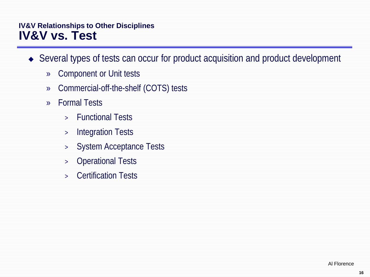#### **IV&V Relationships to Other Disciplines IV&V vs. Test**

- Several types of tests can occur for product acquisition and product development
	- » Component or Unit tests
	- » Commercial-off-the-shelf (COTS) tests
	- » Formal Tests
		- > Functional Tests
		- > Integration Tests
		- > System Acceptance Tests
		- > Operational Tests
		- > Certification Tests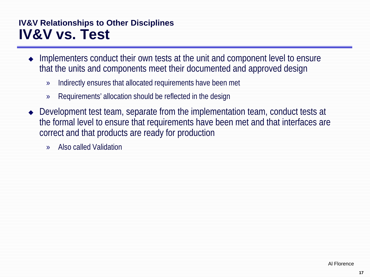#### **IV&V Relationships to Other Disciplines IV&V vs. Test**

- Implementers conduct their own tests at the unit and component level to ensure that the units and components meet their documented and approved design
	- » Indirectly ensures that allocated requirements have been met
	- » Requirements' allocation should be reflected in the design
- Development test team, separate from the implementation team, conduct tests at the formal level to ensure that requirements have been met and that interfaces are correct and that products are ready for production
	- » Also called Validation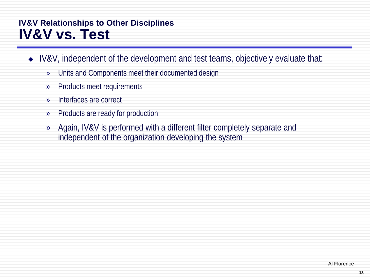#### **IV&V Relationships to Other Disciplines IV&V vs. Test**

- ◆ IV&V, independent of the development and test teams, objectively evaluate that:
	- » Units and Components meet their documented design
	- » Products meet requirements
	- » Interfaces are correct
	- » Products are ready for production
	- » Again, IV&V is performed with a different filter completely separate and independent of the organization developing the system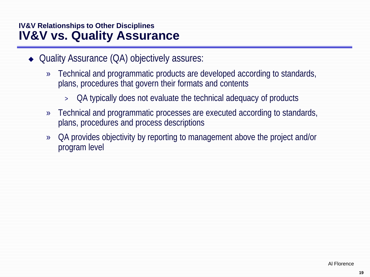#### **IV&V Relationships to Other Disciplines IV&V vs. Quality Assurance**

- ◆ Quality Assurance (QA) objectively assures:
	- » Technical and programmatic products are developed according to standards, plans, procedures that govern their formats and contents
		- > QA typically does not evaluate the technical adequacy of products
	- » Technical and programmatic processes are executed according to standards, plans, procedures and process descriptions
	- » QA provides objectivity by reporting to management above the project and/or program level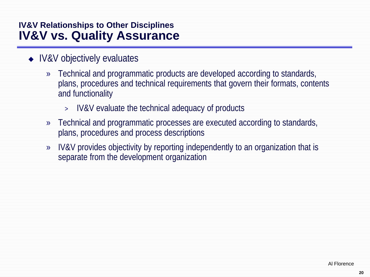#### **IV&V Relationships to Other Disciplines IV&V vs. Quality Assurance**

- IV&V objectively evaluates
	- » Technical and programmatic products are developed according to standards, plans, procedures and technical requirements that govern their formats, contents and functionality
		- > IV&V evaluate the technical adequacy of products
	- » Technical and programmatic processes are executed according to standards, plans, procedures and process descriptions
	- » IV&V provides objectivity by reporting independently to an organization that is separate from the development organization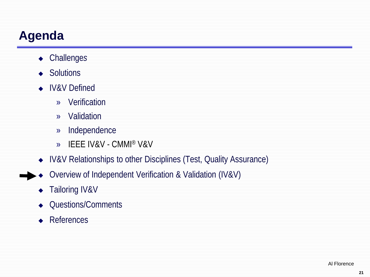# **Agenda**

- Challenge*s*
- ◆ Solutions
- ◆ IV&V Defined
	- » Verification
	- » Validation
	- » Independence
	- » IEEE IV&V CMMI® V&V
- IV&V Relationships to other Disciplines (Test, Quality Assurance)
- ▶ ◆ Overview of Independent Verification & Validation (IV&V)
	- ◆ Tailoring IV&V
	- Questions/Comments
	- **◆** References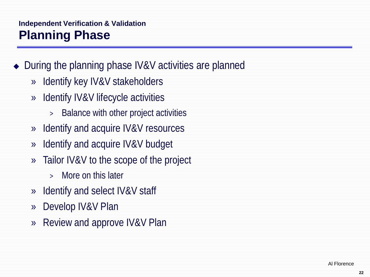#### **Independent Verification & Validation Planning Phase**

- During the planning phase IV&V activities are planned
	- » Identify key IV&V stakeholders
	- » Identify IV&V lifecycle activities
		- > Balance with other project activities
	- » Identify and acquire IV&V resources
	- » Identify and acquire IV&V budget
	- » Tailor IV&V to the scope of the project
		- > More on this later
	- » Identify and select IV&V staff
	- » Develop IV&V Plan
	- » Review and approve IV&V Plan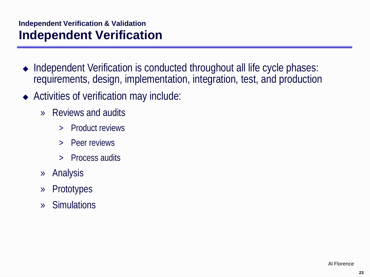#### **Independent Verification & Validation Independent Verification**

- Independent Verification is conducted throughout all life cycle phases: requirements, design, implementation, integration, test, and production
- Activities of verification may include:
	- » Reviews and audits
		- > Product reviews
		- > Peer reviews
		- > Process audits
	- » Analysis
	- » Prototypes
	- » Simulations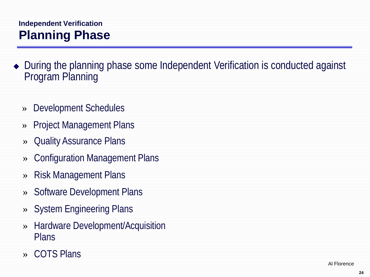#### **Independent Verification Planning Phase**

- During the planning phase some Independent Verification is conducted against Program Planning
	- » Development Schedules
	- » Project Management Plans
	- » Quality Assurance Plans
	- » Configuration Management Plans
	- » Risk Management Plans
	- » Software Development Plans
	- » System Engineering Plans
	- » Hardware Development/Acquisition Plans
	- » COTS Plans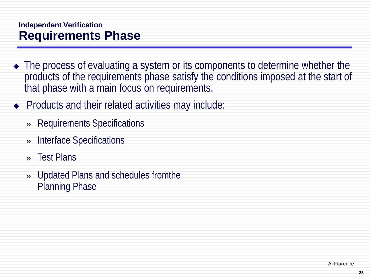#### **Independent Verification Requirements Phase**

- The process of evaluating a system or its components to determine whether the products of the requirements phase satisfy the conditions imposed at the start of that phase with a main focus on requirements.
- $\rightarrow$  Products and their related activities may include:
	- » Requirements Specifications
	- » Interface Specifications
	- » Test Plans
	- » Updated Plans and schedules fromthe Planning Phase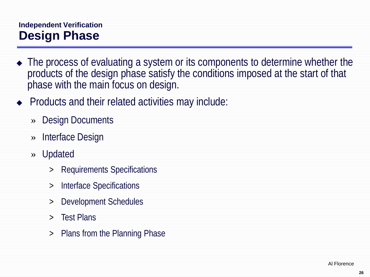#### **Independent Verification Design Phase**

- The process of evaluating a system or its components to determine whether the products of the design phase satisfy the conditions imposed at the start of that phase with the main focus on design.
- $\rightarrow$  Products and their related activities may include:
	- » Design Documents
	- » Interface Design
	- » Updated
		- > Requirements Specifications
		- > Interface Specifications
		- > Development Schedules
		- > Test Plans
		- > Plans from the Planning Phase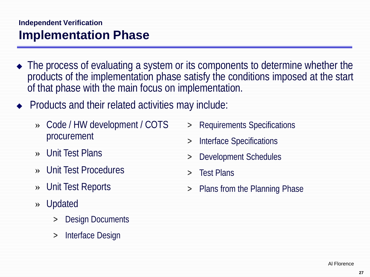#### **Independent Verification Implementation Phase**

- The process of evaluating a system or its components to determine whether the products of the implementation phase satisfy the conditions imposed at the start of that phase with the main focus on implementation.
- $\rightarrow$  Products and their related activities may include:
	- » Code / HW development / COTS procurement
	- » Unit Test Plans
	- » Unit Test Procedures
	- » Unit Test Reports
	- » Updated
		- Design Documents
		- > Interface Design
- > Requirements Specifications
- > Interface Specifications
- Development Schedules
- > Test Plans
- > Plans from the Planning Phase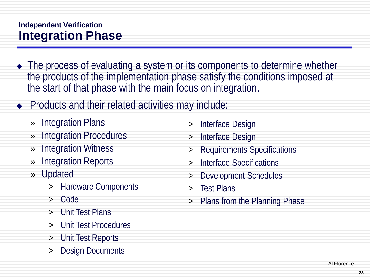#### **Independent Verification Integration Phase**

- The process of evaluating a system or its components to determine whether the products of the implementation phase satisfy the conditions imposed at the start of that phase with the main focus on integration.
- $\rightarrow$  Products and their related activities may include:
	- » Integration Plans
	- » Integration Procedures
	- » Integration Witness
	- » Integration Reports
	- » Updated
		- > Hardware Components
		- > Code
		- > Unit Test Plans
		- > Unit Test Procedures
		- > Unit Test Reports
		- Design Documents
- > Interface Design
- > Interface Design
- > Requirements Specifications
- > Interface Specifications
- > Development Schedules
- > Test Plans
- > Plans from the Planning Phase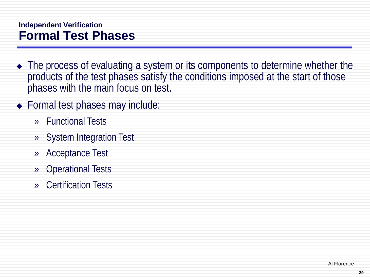#### **Independent Verification Formal Test Phases**

- The process of evaluating a system or its components to determine whether the products of the test phases satisfy the conditions imposed at the start of those phases with the main focus on test.
- ◆ Formal test phases may include:
	- » Functional Tests
	- » System Integration Test
	- » Acceptance Test
	- » Operational Tests
	- » Certification Tests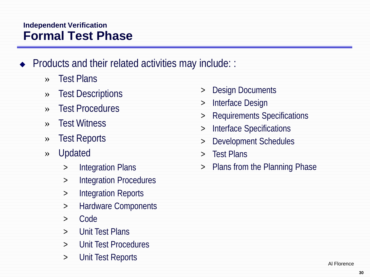#### **Independent Verification Formal Test Phase**

- $\bullet$  Products and their related activities may include: :
	- » Test Plans
	- » Test Descriptions
	- » Test Procedures
	- » Test Witness
	- » Test Reports
	- » Updated
		- > Integration Plans
		- > Integration Procedures
		- > Integration Reports
		- > Hardware Components
		- > Code
		- > Unit Test Plans
		- > Unit Test Procedures
		- > Unit Test Reports
- > Design Documents
- > Interface Design
- > Requirements Specifications
- > Interface Specifications
- > Development Schedules
- > Test Plans
- > Plans from the Planning Phase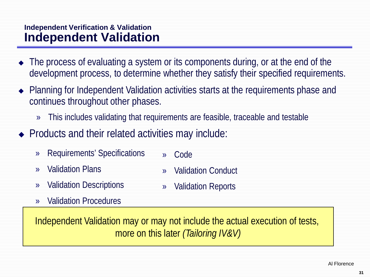#### **Independent Verification & Validation Independent Validation**

- The process of evaluating a system or its components during, or at the end of the development process, to determine whether they satisfy their specified requirements.
- Planning for Independent Validation activities starts at the requirements phase and continues throughout other phases.
	- » This includes validating that requirements are feasible, traceable and testable
- $\rightarrow$  Products and their related activities may include:
	- » Requirements' Specifications » Code
	- » Validation Plans
	- » Validation Descriptions
- » Validation Reports

» Validation Conduct

» Validation Procedures

Independent Validation may or may not include the actual execution of tests, more on this later *(Tailoring IV&V)*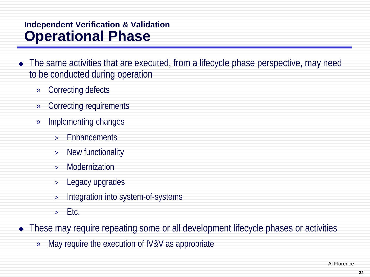#### **Independent Verification & Validation Operational Phase**

- The same activities that are executed, from a lifecycle phase perspective, may need to be conducted during operation
	- » Correcting defects
	- » Correcting requirements
	- » Implementing changes
		- > Enhancements
		- > New functionality
		- > Modernization
		- > Legacy upgrades
		- > Integration into system-of-systems
		- $>$  Etc.

• These may require repeating some or all development lifecycle phases or activities

» May require the execution of IV&V as appropriate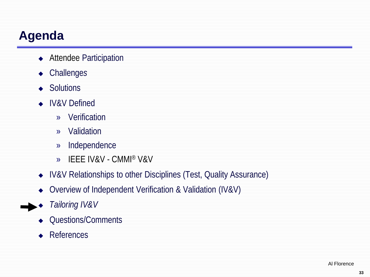# **Agenda**

- ◆ Attendee Participation
- Challenge*s*
- ◆ Solutions
- ◆ IV&V Defined
	- » Verification
	- » Validation
	- » Independence
	- » IEEE IV&V CMMI® V&V
- IV&V Relationships to other Disciplines (Test, Quality Assurance)
- ◆ Overview of Independent Verification & Validation (IV&V)
- *Tailoring IV&V*
	- Questions/Comments
	- ◆ References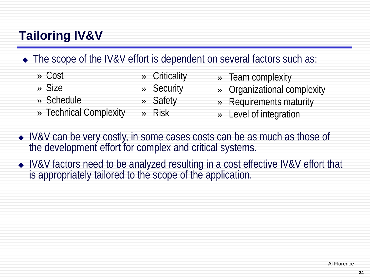# **Tailoring IV&V**

#### • The scope of the IV&V effort is dependent on several factors such as:

- » Cost
- » Size
- » Schedule
- » Technical Complexity
- » Criticality
- » Security
- » Safety
- » Risk
- » Team complexity
	- » Organizational complexity
	- » Requirements maturity
	- » Level of integration
- IV&V can be very costly, in some cases costs can be as much as those of the development effort for complex and critical systems.
- ◆ IV&V factors need to be analyzed resulting in a cost effective IV&V effort that is appropriately tailored to the scope of the application.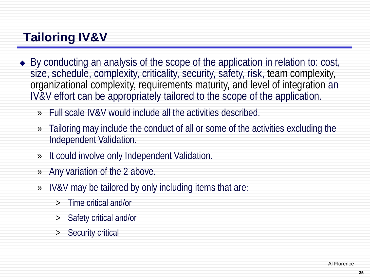# **Tailoring IV&V**

- ◆ By conducting an analysis of the scope of the application in relation to: cost, size, schedule, complexity, criticality, security, safety, risk, team complexity, organizational complexity, requirements maturity, and level of integration an IV&V effort can be appropriately tailored to the scope of the application.
	- » Full scale IV&V would include all the activities described.
	- » Tailoring may include the conduct of all or some of the activities excluding the Independent Validation.
	- » It could involve only Independent Validation.
	- » Any variation of the 2 above.
	- » IV&V may be tailored by only including items that are:
		- > Time critical and/or
		- > Safety critical and/or
		- > Security critical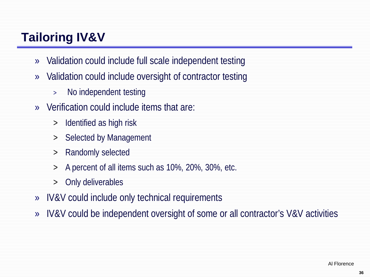# **Tailoring IV&V**

- » Validation could include full scale independent testing
- » Validation could include oversight of contractor testing
	- > No independent testing
- » Verification could include items that are:
	- > Identified as high risk
	- > Selected by Management
	- > Randomly selected
	- > A percent of all items such as 10%, 20%, 30%, etc.
	- > Only deliverables
- » IV&V could include only technical requirements
- » IV&V could be independent oversight of some or all contractor's V&V activities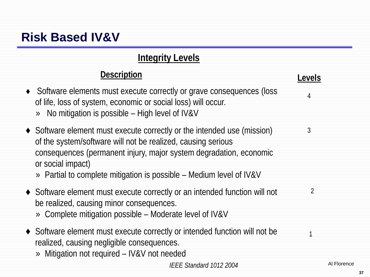# **Risk Based IV&V**

#### **Integrity Levels**

#### **Description**

- ♦ Software elements must execute correctly or grave consequences (loss of life, loss of system, economic or social loss) will occur.
	- » No mitigation is possible High level of IV&V
- ♦ Software element must execute correctly or the intended use (mission) of the system/software will not be realized, causing serious consequences (permanent injury, major system degradation, economic or social impact)

» Partial to complete mitigation is possible – Medium level of IV&V

- ♦ Software element must execute correctly or an intended function will not be realized, causing minor consequences.  $\mathfrak{D}$ 
	- » Complete mitigation possible Moderate level of IV&V
- ♦ Software element must execute correctly or intended function will not be realized, causing negligible consequences.  $1$ 
	- » Mitigation not required IV&V not needed

 **Levels**

4

3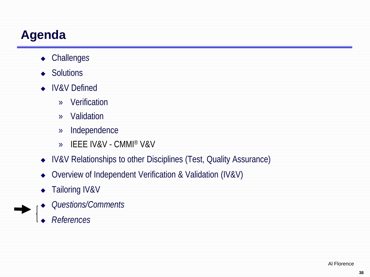# **Agenda**

- Challenge*s*
- ◆ Solutions
- IV&V Defined
	- » Verification
	- » Validation
	- » Independence
	- » IEEE IV&V CMMI® V&V
- IV&V Relationships to other Disciplines (Test, Quality Assurance)
- Overview of Independent Verification & Validation (IV&V)
- ◆ Tailoring IV&V
- *Questions/Comments*
- *References*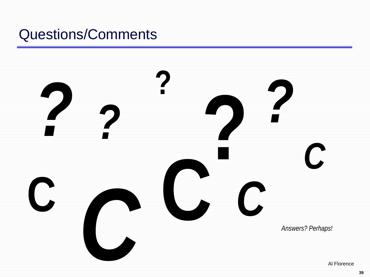# Questions/Comments

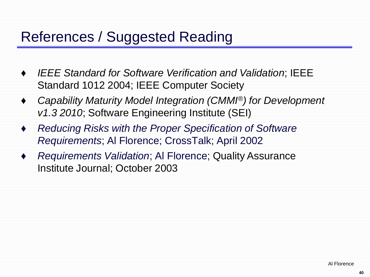# References / Suggested Reading

- *IEEE Standard for Software Verification and Validation; IEEE* Standard 1012 2004; IEEE Computer Society
- ♦ *Capability Maturity Model Integration (CMMI®) for Development v1.3 2010*; Software Engineering Institute (SEI)
- ♦ *Reducing Risks with the Proper Specification of Software Requirements*; Al Florence; CrossTalk; April 2002
- ♦ *Requirements Validation*; Al Florence; Quality Assurance Institute Journal; October 2003